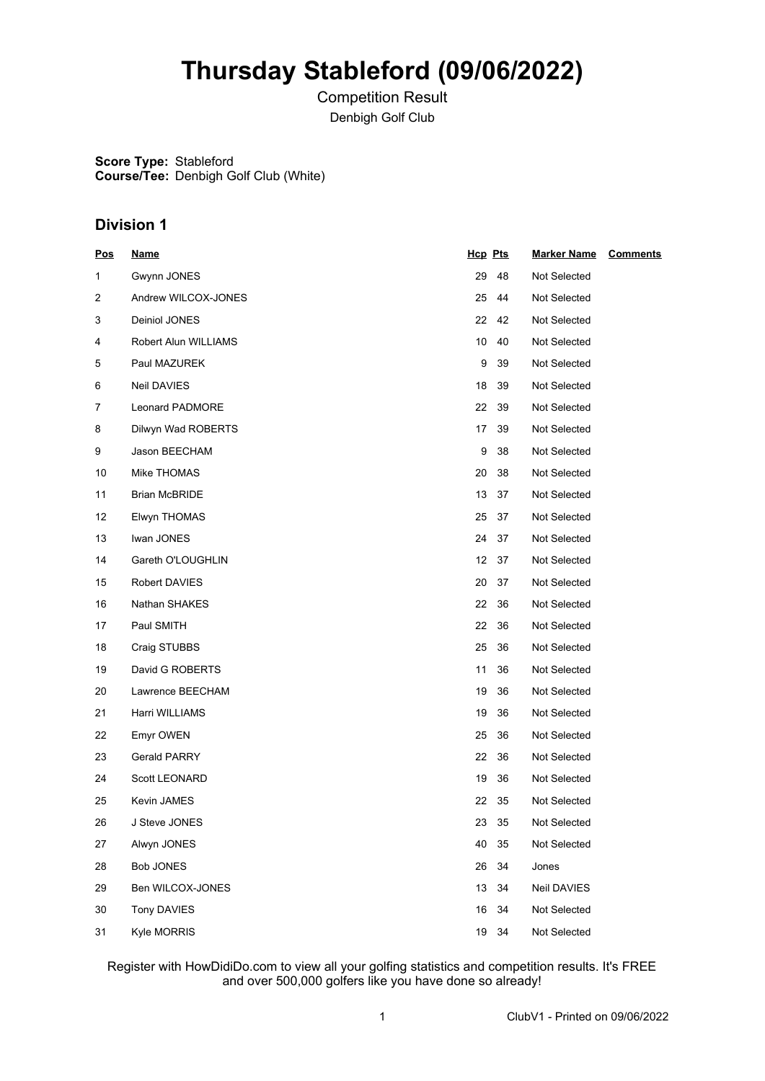# **Thursday Stableford (09/06/2022)**

Competition Result Denbigh Golf Club

**Score Type:** Stableford **Course/Tee:** Denbigh Golf Club (White)

# **Division 1**

| <u>Pos</u> | <u>Name</u>          | Hcp Pts |    | <b>Marker Name</b> | <b>Comments</b> |
|------------|----------------------|---------|----|--------------------|-----------------|
| 1          | Gwynn JONES          | 29      | 48 | Not Selected       |                 |
| 2          | Andrew WILCOX-JONES  | 25      | 44 | Not Selected       |                 |
| 3          | Deiniol JONES        | 22      | 42 | Not Selected       |                 |
| 4          | Robert Alun WILLIAMS | 10      | 40 | Not Selected       |                 |
| 5          | Paul MAZUREK         | 9       | 39 | Not Selected       |                 |
| 6          | Neil DAVIES          | 18      | 39 | Not Selected       |                 |
| 7          | Leonard PADMORE      | 22      | 39 | Not Selected       |                 |
| 8          | Dilwyn Wad ROBERTS   | 17      | 39 | Not Selected       |                 |
| 9          | Jason BEECHAM        | 9       | 38 | Not Selected       |                 |
| 10         | Mike THOMAS          | 20      | 38 | Not Selected       |                 |
| 11         | <b>Brian McBRIDE</b> | 13      | 37 | Not Selected       |                 |
| 12         | Elwyn THOMAS         | 25      | 37 | Not Selected       |                 |
| 13         | Iwan JONES           | 24      | 37 | Not Selected       |                 |
| 14         | Gareth O'LOUGHLIN    | 12      | 37 | Not Selected       |                 |
| 15         | Robert DAVIES        | 20      | 37 | Not Selected       |                 |
| 16         | Nathan SHAKES        | 22      | 36 | Not Selected       |                 |
| 17         | Paul SMITH           | 22      | 36 | Not Selected       |                 |
| 18         | Craig STUBBS         | 25      | 36 | Not Selected       |                 |
| 19         | David G ROBERTS      | 11      | 36 | Not Selected       |                 |
| 20         | Lawrence BEECHAM     | 19      | 36 | Not Selected       |                 |
| 21         | Harri WILLIAMS       | 19      | 36 | Not Selected       |                 |
| 22         | Emyr OWEN            | 25      | 36 | Not Selected       |                 |
| 23         | Gerald PARRY         | 22      | 36 | Not Selected       |                 |
| 24         | <b>Scott LEONARD</b> | 19      | 36 | Not Selected       |                 |
| 25         | Kevin JAMES          | 22      | 35 | Not Selected       |                 |
| 26         | J Steve JONES        | 23 35   |    | Not Selected       |                 |
| 27         | Alwyn JONES          | 40      | 35 | Not Selected       |                 |
| 28         | <b>Bob JONES</b>     | 26      | 34 | Jones              |                 |
| 29         | Ben WILCOX-JONES     | 13      | 34 | Neil DAVIES        |                 |
| 30         | Tony DAVIES          | 16      | 34 | Not Selected       |                 |
| 31         | Kyle MORRIS          | 19 34   |    | Not Selected       |                 |

Register with HowDidiDo.com to view all your golfing statistics and competition results. It's FREE and over 500,000 golfers like you have done so already!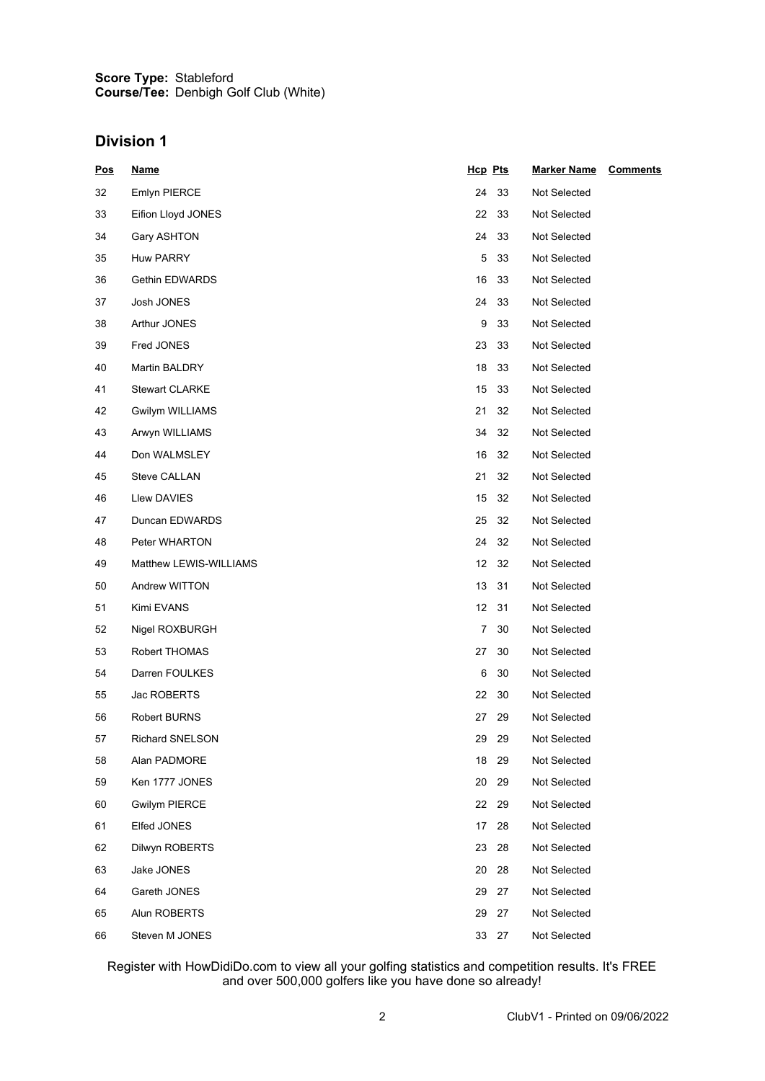### **Score Type: Course/Tee:** Stableford Denbigh Golf Club (White)

### **Division 1**

| <u>Pos</u> | <u>Name</u>            | Hcp Pts   | <b>Marker Name</b><br><b>Comments</b> |
|------------|------------------------|-----------|---------------------------------------|
| 32         | Emlyn PIERCE           | 24<br>33  | Not Selected                          |
| 33         | Eifion Lloyd JONES     | 22<br>33  | Not Selected                          |
| 34         | Gary ASHTON            | 24<br>33  | Not Selected                          |
| 35         | <b>Huw PARRY</b>       | 5<br>33   | Not Selected                          |
| 36         | <b>Gethin EDWARDS</b>  | 16<br>33  | Not Selected                          |
| 37         | Josh JONES             | 24<br>33  | Not Selected                          |
| 38         | Arthur JONES           | 9<br>33   | Not Selected                          |
| 39         | Fred JONES             | 23<br>33  | Not Selected                          |
| 40         | Martin BALDRY          | 18<br>33  | Not Selected                          |
| 41         | <b>Stewart CLARKE</b>  | 15<br>33  | Not Selected                          |
| 42         | Gwilym WILLIAMS        | 21<br>32  | Not Selected                          |
| 43         | Arwyn WILLIAMS         | 34<br>32  | Not Selected                          |
| 44         | Don WALMSLEY           | 16<br>32  | Not Selected                          |
| 45         | Steve CALLAN           | 21<br>32  | Not Selected                          |
| 46         | Llew DAVIES            | 15<br>32  | Not Selected                          |
| 47         | Duncan EDWARDS         | 32<br>25  | Not Selected                          |
| 48         | Peter WHARTON          | 24<br>32  | Not Selected                          |
| 49         | Matthew LEWIS-WILLIAMS | 12<br>32  | Not Selected                          |
| 50         | Andrew WITTON          | 13<br>31  | Not Selected                          |
| 51         | Kimi EVANS             | 12<br>31  | Not Selected                          |
| 52         | Nigel ROXBURGH         | 30<br>7   | Not Selected                          |
| 53         | Robert THOMAS          | 27<br>30  | Not Selected                          |
| 54         | Darren FOULKES         | 6<br>30   | Not Selected                          |
| 55         | Jac ROBERTS            | 22<br>30  | Not Selected                          |
| 56         | <b>Robert BURNS</b>    | 27<br>-29 | Not Selected                          |
| 57         | Richard SNELSON        | 29<br>29  | Not Selected                          |
| 58         | Alan PADMORE           | 18<br>29  | Not Selected                          |
| 59         | Ken 1777 JONES         | 20<br>29  | Not Selected                          |
| 60         | <b>Gwilym PIERCE</b>   | 22<br>29  | Not Selected                          |
| 61         | Elfed JONES            | 17<br>28  | Not Selected                          |
| 62         | Dilwyn ROBERTS         | 23<br>28  | Not Selected                          |
| 63         | Jake JONES             | 20<br>28  | Not Selected                          |
| 64         | Gareth JONES           | 29<br>27  | Not Selected                          |
| 65         | Alun ROBERTS           | 29<br>27  | Not Selected                          |
| 66         | Steven M JONES         | 33 27     | Not Selected                          |

Register with HowDidiDo.com to view all your golfing statistics and competition results. It's FREE and over 500,000 golfers like you have done so already!